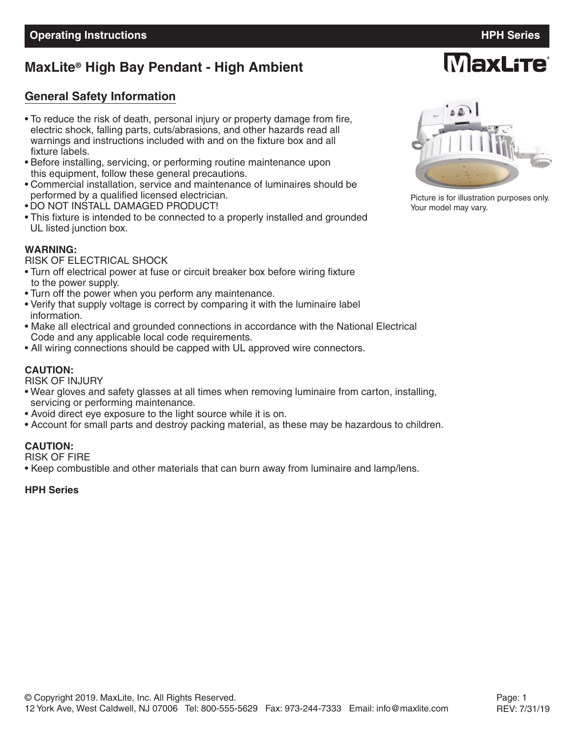# **MaxLite<sup>®</sup> High Bay Pendant - High Ambient**

#### **General Safety Information**

- To reduce the risk of death, personal injury or property damage from fire, electric shock, falling parts, cuts/abrasions, and other hazards read all warnings and instructions included with and on the fixture box and all fixture labels.
- Before installing, servicing, or performing routine maintenance upon this equipment, follow these general precautions.
- Commercial installation, service and maintenance of luminaires should be performed by a qualified licensed electrician.
- DO NOT INSTALL DAMAGED PRODUCT!
- This fixture is intended to be connected to a properly installed and grounded UL listed junction box.

#### **WARNING:**

RISK OF ELECTRICAL SHOCK

- Turn off electrical power at fuse or circuit breaker box before wiring fixture to the power supply.
- Turn off the power when you perform any maintenance.
- Verify that supply voltage is correct by comparing it with the luminaire label information.
- Make all electrical and grounded connections in accordance with the National Electrical Code and any applicable local code requirements.
- All wiring connections should be capped with UL approved wire connectors.

#### **CAUTION:**

RISK OF INJURY

- Wear gloves and safety glasses at all times when removing luminaire from carton, installing, servicing or performing maintenance.
- Avoid direct eye exposure to the light source while it is on.
- Account for small parts and destroy packing material, as these may be hazardous to children.

#### **CAUTION:**

RISK OF FIRE

• Keep combustible and other materials that can burn away from luminaire and lamp/lens.

#### **HPH Series**



Picture is for illustration purposes only. Your model may vary.

**MaxLite**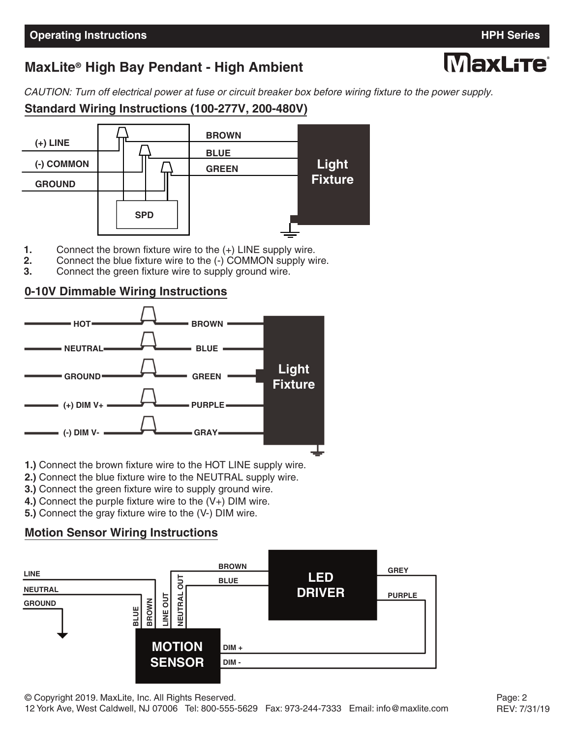# **MaxLite<sup>®</sup> High Bay Pendant - High Ambient**

CAUTION: Turn off electrical power at fuse or circuit breaker box before wiring fixture to the power supply.

### **Standard Wiring Instructions (100-277V, 200-480V)**



- **1.** Connect the brown fixture wire to the (+) LINE supply wire.
- **2.** Connect the blue fixture wire to the (-) COMMON supply wire.<br>**3.** Connect the green fixture wire to supply ground wire.
- **3.** Connect the green fixture wire to supply ground wire.

#### **0-10V Dimmable Wiring Instructions**



- **1.)** Connect the brown fixture wire to the HOT LINE supply wire.
- **2.)** Connect the blue fixture wire to the NEUTRAL supply wire.
- **3.)** Connect the green fixture wire to supply ground wire.
- **4.)** Connect the purple fixture wire to the (V+) DIM wire.
- **5.)** Connect the gray fixture wire to the (V-) DIM wire.

## **Motion Sensor Wiring Instructions**



# MaxLfTe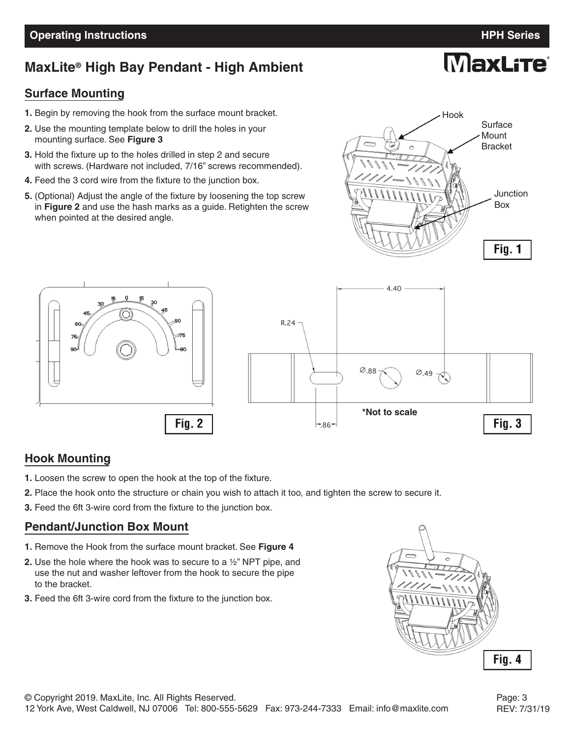#### **Operating Instructions HPH Series**

# **MaxLite<sup>®</sup> High Bay Pendant - High Ambient**

#### **Surface Mounting**

- **1.** Begin by removing the hook from the surface mount bracket.
- **2.** Use the mounting template below to drill the holes in your mounting surface. See **Figure 3**
- **3.** Hold the fixture up to the holes drilled in step 2 and secure with screws. (Hardware not included, 7/16" screws recommended).
- **4.** Feed the 3 cord wire from the fixture to the junction box.
- **5.** (Optional) Adjust the angle of the fixture by loosening the top screw in **Figure 2** and use the hash marks as a guide. Retighten the screw when pointed at the desired angle.





#### **Hook Mounting**

- **1.** Loosen the screw to open the hook at the top of the fixture.
- **2.** Place the hook onto the structure or chain you wish to attach it too, and tighten the screw to secure it.
- **3.** Feed the 6ft 3-wire cord from the fixture to the junction box.

#### **Pendant/Junction Box Mount**

- **1.** Remove the Hook from the surface mount bracket. See **Figure 4**
- **2.** Use the hole where the hook was to secure to a ½" NPT pipe, and use the nut and washer leftover from the hook to secure the pipe to the bracket.
- **3.** Feed the 6ft 3-wire cord from the fixture to the junction box.



**MaxLite** 



REV: 7/31/19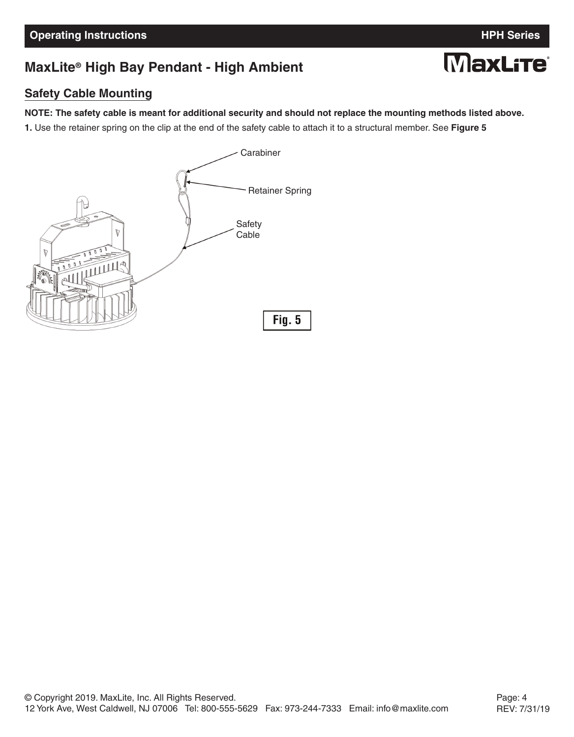**MaxLite** 

# **MaxLite<sup>®</sup> High Bay Pendant - High Ambient**

#### **Safety Cable Mounting**

#### NOTE: The safety cable is meant for additional security and should not replace the mounting methods listed above.

**1.** Use the retainer spring on the clip at the end of the safety cable to attach it to a structural member. See **Figure 5**